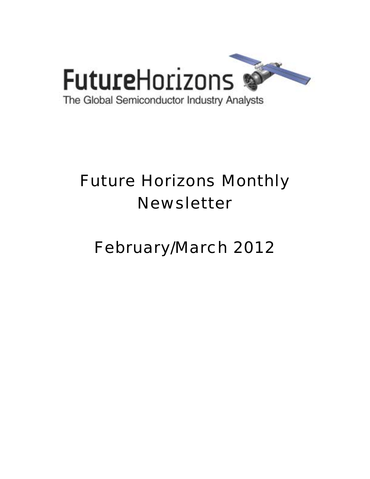

# Future Horizons Monthly Newsletter

## February/March 2012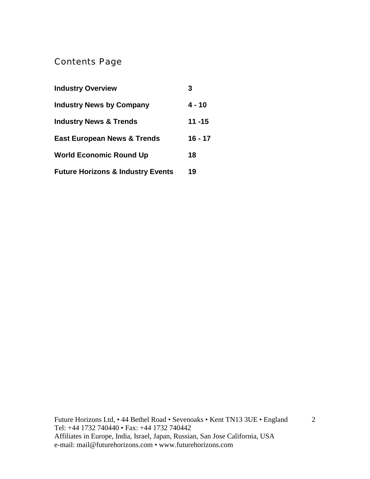### Contents Page

| <b>Industry Overview</b>                     | 3         |
|----------------------------------------------|-----------|
| <b>Industry News by Company</b>              | 4 - 10    |
| <b>Industry News &amp; Trends</b>            | $11 - 15$ |
| <b>East European News &amp; Trends</b>       | $16 - 17$ |
| <b>World Economic Round Up</b>               | 18        |
| <b>Future Horizons &amp; Industry Events</b> | 19        |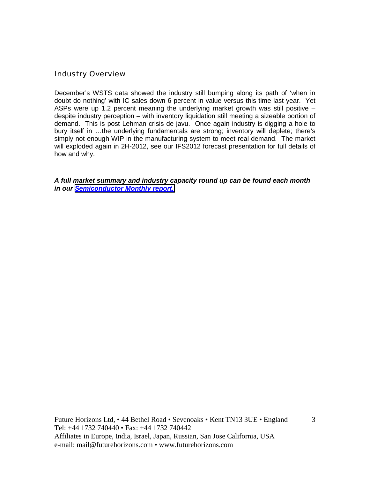#### Industry Overview

December's WSTS data showed the industry still bumping along its path of 'when in doubt do nothing' with IC sales down 6 percent in value versus this time last year. Yet ASPs were up 1.2 percent meaning the underlying market growth was still positive – despite industry perception – with inventory liquidation still meeting a sizeable portion of demand. This is post Lehman crisis de javu. Once again industry is digging a hole to bury itself in …the underlying fundamentals are strong; inventory will deplete; there's simply not enough WIP in the manufacturing system to meet real demand. The market will exploded again in 2H-2012, see our IFS2012 forecast presentation for full details of how and why.

*A full market summary and industry capacity round up can be found each month in our [Semiconductor Monthly report.](http://www.futurehorizons.com/page/18/Global-Semiconductor-Report)*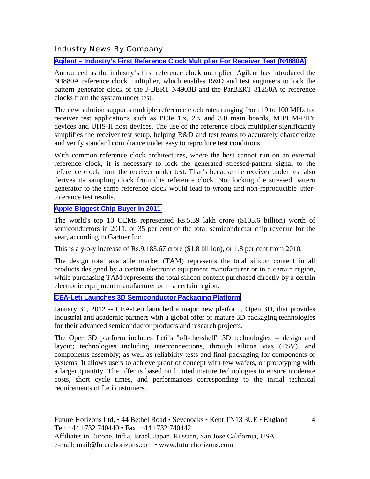Industry News By Company

**[Agilent – Industry's First Reference Clock Multiplier For Receiver Test \(N4880A\)](http://www.electropages.com/2012/01/n4880a/)**

Announced as the industry's first reference clock multiplier, Agilent has introduced the N4880A reference clock multiplier, which enables R&D and test engineers to lock the pattern generator clock of the J-BERT N4903B and the ParBERT 81250A to reference clocks from the system under test.

The new solution supports multiple reference clock rates ranging from 19 to 100 MHz for receiver test applications such as PCIe 1.x, 2.x and 3.0 main boards, MIPI M-PHY devices and UHS-II host devices. The use of the reference clock multiplier significantly simplifies the receiver test setup, helping R&D and test teams to accurately characterize and verify standard compliance under easy to reproduce test conditions.

With common reference clock architectures, where the host cannot run on an external reference clock, it is necessary to lock the generated stressed-pattern signal to the reference clock from the receiver under test. That's because the receiver under test also derives its sampling clock from this reference clock. Not locking the stressed pattern generator to the same reference clock would lead to wrong and non-reproducible jittertolerance test results.

#### **[Apple Biggest Chip Buyer In 2011](http://www.eetindia.co.in/ART_8800660199_1800007_NT_cdbdade6.HTM)**

The world's top 10 OEMs represented Rs.5.39 lakh crore (\$105.6 billion) worth of semiconductors in 2011, or 35 per cent of the total semiconductor chip revenue for the year, according to Gartner Inc.

This is a y-o-y increase of Rs.9,183.67 crore (\$1.8 billion), or 1.8 per cent from 2010.

The design total available market (TAM) represents the total silicon content in all products designed by a certain electronic equipment manufacturer or in a certain region, while purchasing TAM represents the total silicon content purchased directly by a certain electronic equipment manufacturer or in a certain region.

#### **[CEA-Leti Launches 3D Semiconductor Packaging Platform](http://www.electroiq.com/articles/ap/2012/01/cea-leti-launches-3d-semiconductor-packaging-platform.html)**

January 31, 2012 -- CEA-Leti launched a major new platform, Open 3D, that provides industrial and academic partners with a global offer of mature 3D packaging technologies for their advanced semiconductor products and research projects.

The Open 3D platform includes Leti's "off-the-shelf" 3D technologies -- design and layout; technologies including interconnections, through silicon vias (TSV), and components assembly; as well as reliability tests and final packaging for components or systems. It allows users to achieve proof of concept with few wafers, or prototyping with a larger quantity. The offer is based on limited mature technologies to ensure moderate costs, short cycle times, and performances corresponding to the initial technical requirements of Leti customers.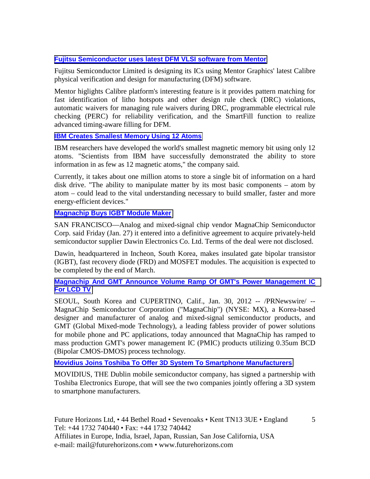#### **[Fujitsu Semiconductor uses latest DFM VLSI software from Mentor](http://www.eeherald.com/section/news/nws2012012911.html)**

Fujitsu Semiconductor Limited is designing its ICs using Mentor Graphics' latest Calibre physical verification and design for manufacturing (DFM) software.

Mentor higlights Calibre platform's interesting feature is it provides pattern matching for fast identification of litho hotspots and other design rule check (DRC) violations, automatic waivers for managing rule waivers during DRC, programmable electrical rule checking (PERC) for reliability verification, and the SmartFill function to realize advanced timing-aware filling for DFM.

#### **[IBM Creates Smallest Memory Using 12 Atoms](http://www.eetindia.co.in/ART_8800659666_1800009_NT_c36f042a.HTM?click_from=8800089635,9950114561,2012-01-17,EEIOL,ARTICLE_ALERT)**

IBM researchers have developed the world's smallest magnetic memory bit using only 12 atoms. "Scientists from IBM have successfully demonstrated the ability to store information in as few as 12 magnetic atoms," the company said.

Currently, it takes about one million atoms to store a single bit of information on a hard disk drive. "The ability to manipulate matter by its most basic components – atom by atom – could lead to the vital understanding necessary to build smaller, faster and more energy-efficient devices."

#### **[Magnachip Buys IGBT Module Maker](http://www.powermanagementdesignline.com/electronics-news/4235411/MagnaChip-buys-IGBT-module-maker)**

SAN FRANCISCO—Analog and mixed-signal chip vendor MagnaChip Semiconductor Corp. said Friday (Jan. 27) it entered into a definitive agreement to acquire privately-held semiconductor supplier Dawin Electronics Co. Ltd. Terms of the deal were not disclosed.

Dawin, headquartered in Incheon, South Korea, makes insulated gate bipolar transistor (IGBT), fast recovery diode (FRD) and MOSFET modules. The acquisition is expected to be completed by the end of March.

#### **[Magnachip And GMT Announce Volume Ramp Of GMT's Power Management IC](http://www.sacbee.com/2012/01/30/4224625/magnachip-and-gmt-announce-volume.html)  [For LCD TV](http://www.sacbee.com/2012/01/30/4224625/magnachip-and-gmt-announce-volume.html)**

SEOUL, South Korea and CUPERTINO, Calif., Jan. 30, 2012 -- /PRNewswire/ -- MagnaChip Semiconductor Corporation ("MagnaChip") (NYSE: MX), a Korea-based designer and manufacturer of analog and mixed-signal semiconductor products, and GMT (Global Mixed-mode Technology), a leading fabless provider of power solutions for mobile phone and PC applications, today announced that MagnaChip has ramped to mass production GMT's power management IC (PMIC) products utilizing 0.35um BCD (Bipolar CMOS-DMOS) process technology.

#### **[Movidius Joins Toshiba To Offer 3D System To Smartphone Manufacturers](http://www.irishtimes.com/newspaper/finance/2012/0203/1224311172045.html)**

MOVIDIUS, THE Dublin mobile semiconductor company, has signed a partnership with Toshiba Electronics Europe, that will see the two companies jointly offering a 3D system to smartphone manufacturers.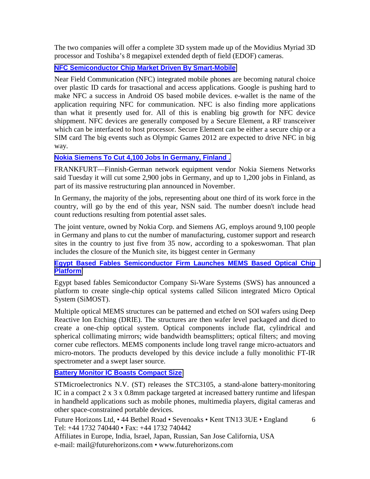The two companies will offer a complete 3D system made up of the Movidius Myriad 3D processor and Toshiba's 8 megapixel extended depth of field (EDOF) cameras.

#### **[NFC Semiconductor Chip Market Driven By Smart-Mobile](http://www.eeherald.com/section/news/nws201201194.html)**

Near Field Communication (NFC) integrated mobile phones are becoming natural choice over plastic ID cards for trasactional and access applications. Google is pushing hard to make NFC a success in Android OS based mobile devices. e-wallet is the name of the application requiring NFC for communication. NFC is also finding more applications than what it presently used for. All of this is enabling big growth for NFC device shippment. NFC devices are generally composed by a Secure Element, a RF transceiver which can be interfaced to host processor. Secure Element can be either a secure chip or a SIM card The big events such as Olympic Games 2012 are expected to drive NFC in big way.

#### **[Nokia Siemens To Cut 4,100 Jobs In Germany, Finland .](http://online.wsj.com/article/SB10001424052970204652904577194691034884120.html?mod=djemWorldAtGlance)**

FRANKFURT—Finnish-German network equipment vendor Nokia Siemens Networks said Tuesday it will cut some 2,900 jobs in Germany, and up to 1,200 jobs in Finland, as part of its massive restructuring plan announced in November.

In Germany, the majority of the jobs, representing about one third of its work force in the country, will go by the end of this year, NSN said. The number doesn't include head count reductions resulting from potential asset sales.

The joint venture, owned by Nokia Corp. and Siemens AG, employs around 9,100 people in Germany and plans to cut the number of manufacturing, customer support and research sites in the country to just five from 35 now, according to a spokeswoman. That plan includes the closure of the Munich site, its biggest center in Germany

#### **[Egypt Based Fables Semiconductor Firm Launches MEMS Based Optical Chip](http://www.eeherald.com/section/new-products/nps201201251.html)  [Platform](http://www.eeherald.com/section/new-products/nps201201251.html)**

Egypt based fables Semiconductor Company Si-Ware Systems (SWS) has announced a platform to create single-chip optical systems called Silicon integrated Micro Optical System (SiMOST).

Multiple optical MEMS structures can be patterned and etched on SOI wafers using Deep Reactive Ion Etching (DRIE). The structures are then wafer level packaged and diced to create a one-chip optical system. Optical components include flat, cylindrical and spherical collimating mirrors; wide bandwidth beamsplitters; optical filters; and moving corner cube reflectors. MEMS components include long travel range micro-actuators and micro-motors. The products developed by this device include a fully monolithic FT-IR spectrometer and a swept laser source.

#### **[Battery Monitor IC Boasts Compact Size](http://www.eetindia.co.in/ART_8800660069_1800008_NP_04306456.HTM?8800089894&8800660069&click_from=8800089894,9950114561,2012-01-24,EEIOL,ARTICLE_ALERT)**

STMicroelectronics N.V. (ST) releases the STC3105, a stand-alone battery-monitoring IC in a compact 2 x 3 x 0.8mm package targeted at increased battery runtime and lifespan in handheld applications such as mobile phones, multimedia players, digital cameras and other space-constrained portable devices.

Future Horizons Ltd, • 44 Bethel Road • Sevenoaks • Kent TN13 3UE • England Tel: +44 1732 740440 • Fax: +44 1732 740442 Affiliates in Europe, India, Israel, Japan, Russian, San Jose California, USA

e-mail: mail@futurehorizons.com • www.futurehorizons.com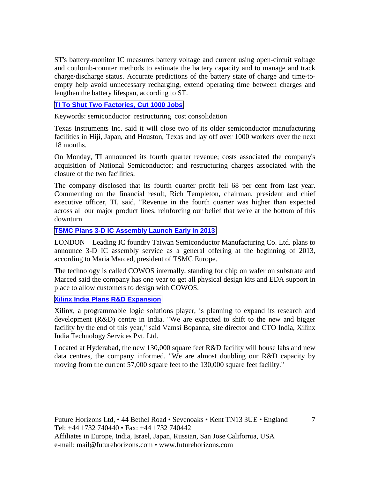ST's battery-monitor IC measures battery voltage and current using open-circuit voltage and coulomb-counter methods to estimate the battery capacity and to manage and track charge/discharge status. Accurate predictions of the battery state of charge and time-toempty help avoid unnecessary recharging, extend operating time between charges and lengthen the battery lifespan, according to ST.

#### **[TI To Shut Two Factories, Cut 1000 Jobs](http://www.eetindia.co.in/ART_8800660068_1800001_NT_4f74162f.HTM?click_from=8800089894,9950114561,2012-01-24,EEIOL,ARTICLE_ALERT)**

Keywords: semiconductor restructuring cost consolidation

Texas Instruments Inc. said it will close two of its older semiconductor manufacturing facilities in Hiji, Japan, and Houston, Texas and lay off over 1000 workers over the next 18 months.

On Monday, TI announced its fourth quarter revenue; costs associated the company's acquisition of National Semiconductor; and restructuring charges associated with the closure of the two facilities.

The company disclosed that its fourth quarter profit fell 68 per cent from last year. Commenting on the financial result, Rich Templeton, chairman, president and chief executive officer, TI, said, "Revenue in the fourth quarter was higher than expected across all our major product lines, reinforcing our belief that we're at the bottom of this downturn

#### **[TSMC Plans 3-D IC Assembly Launch Early In 2013](http://www.rfdesignline.com/electronics-news/4235670/TSMC-IC-stacking)**

LONDON – Leading IC foundry Taiwan Semiconductor Manufacturing Co. Ltd. plans to announce 3-D IC assembly service as a general offering at the beginning of 2013, according to Maria Marced, president of TSMC Europe.

The technology is called COWOS internally, standing for chip on wafer on substrate and Marced said the company has one year to get all physical design kits and EDA support in place to allow customers to design with COWOS.

#### **[Xilinx India Plans R&D Expansion](http://www.eetindia.co.in/ART_8800660021_1800014_NT_98dcc8f7.HTM?click_from=8800089854,9950114561,2012-01-23,EEIOL,ARTICLE_ALERT)**

Xilinx, a programmable logic solutions player, is planning to expand its research and development (R&D) centre in India. "We are expected to shift to the new and bigger facility by the end of this year," said Vamsi Bopanna, site director and CTO India, Xilinx India Technology Services Pvt. Ltd.

Located at Hyderabad, the new 130,000 square feet R&D facility will house labs and new data centres, the company informed. "We are almost doubling our R&D capacity by moving from the current 57,000 square feet to the 130,000 square feet facility."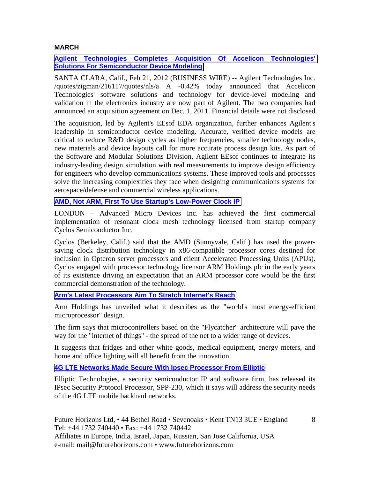#### **MARCH**

#### **[Agilent Technologies Completes Acquisition Of Accelicon Technologies'](http://www.marketwatch.com/story/agilent-technologies-completes-acquisition-of-accelicon-technologies-solutions-for-semiconductor-device-modeling-2012-02-21)  [Solutions For Semiconductor Device Modeling](http://www.marketwatch.com/story/agilent-technologies-completes-acquisition-of-accelicon-technologies-solutions-for-semiconductor-device-modeling-2012-02-21)**

SANTA CLARA, Calif., Feb 21, 2012 (BUSINESS WIRE) -- Agilent Technologies Inc. /quotes/zigman/216117/quotes/nls/a A -0.42% today announced that Accelicon Technologies' software solutions and technology for device-level modeling and validation in the electronics industry are now part of Agilent. The two companies had announced an acquisition agreement on Dec. 1, 2011. Financial details were not disclosed.

The acquisition, led by Agilent's EEsof EDA organization, further enhances Agilent's leadership in semiconductor device modeling. Accurate, verified device models are critical to reduce R&D design cycles as higher frequencies, smaller technology nodes, new materials and device layouts call for more accurate process design kits. As part of the Software and Modular Solutions Division, Agilent EEsof continues to integrate its industry-leading design simulation with real measurements to improve design efficiency for engineers who develop communications systems. These improved tools and processes solve the increasing complexities they face when designing communications systems for aerospace/defense and commercial wireless applications.

#### **[AMD, Not ARM, First To Use Startup's Low-Power Clock IP](http://www.eetimes.com/electronics-news/4236592/AMD-counts-on-low-power-clock-IP)**

LONDON – Advanced Micro Devices Inc. has achieved the first commercial implementation of resonant clock mesh technology licensed from startup company Cyclos Semiconductor Inc.

Cyclos (Berkeley, Calif.) said that the AMD (Sunnyvale, Calif.) has used the powersaving clock distribution technology in x86-compatible processor cores destined for inclusion in Opteron server processors and client Accelerated Processing Units (APUs). Cyclos engaged with processor technology licensor ARM Holdings plc in the early years of its existence driving an expectation that an ARM processor core would be the first commercial demonstration of the technology.

#### **[Arm's Latest Processors Aim To Stretch Internet's Reach](http://www.bbc.co.uk/news/technology-17345934)**

Arm Holdings has unveiled what it describes as the "world's most energy-efficient microprocessor" design.

The firm says that microcontrollers based on the "Flycatcher" architecture will pave the way for the "internet of things" - the spread of the net to a wider range of devices.

It suggests that fridges and other white goods, medical equipment, energy meters, and home and office lighting will all benefit from the innovation.

#### **[4G LTE Networks Made Secure With Ipsec Processor From Elliptic](http://www.electronicsweekly.com/Articles/26/01/2012/52806/4g-lte-networks-made-secure-with-ipsec-processor-from-elliptic.htm)**

Elliptic Technologies, a security semiconductor IP and software firm, has released its IPsec Security Protocol Processor, SPP-230, which it says will address the security needs of the 4G LTE mobile backhaul networks.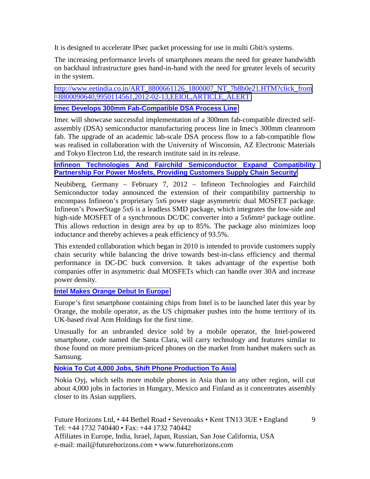It is designed to accelerate IPsec packet processing for use in multi Gbit/s systems.

The increasing performance levels of smartphones means the need for greater bandwidth on backhaul infrastructure goes hand-in-hand with the need for greater levels of security in the system.

[http://www.eetindia.co.in/ART\\_8800661126\\_1800007\\_NT\\_7b8b0e21.HTM?click\\_from](http://www.eetindia.co.in/ART_8800661126_1800007_NT_7b8b0e21.HTM?click_from=8800090640,9950114561,2012-02-13,EEIOL,ARTICLE_ALERT) [=8800090640,9950114561,2012-02-13,EEIOL,ARTICLE\\_ALERT](http://www.eetindia.co.in/ART_8800661126_1800007_NT_7b8b0e21.HTM?click_from=8800090640,9950114561,2012-02-13,EEIOL,ARTICLE_ALERT)

#### **[Imec Develops 300mm Fab-Compatible DSA Process Line](http://www.eetindia.co.in/ART_8800661126_1800007_NT_7b8b0e21.HTM?click_from=8800090640,9950114561,2012-02-13,EEIOL,ARTICLE_ALERT)**

Imec will showcase successful implementation of a 300mm fab-compatible directed selfassembly (DSA) semiconductor manufacturing process line in Imec's 300mm cleanroom fab. The upgrade of an academic lab-scale DSA process flow to a fab-compatible flow was realised in collaboration with the University of Wisconsin, AZ Electronic Materials and Tokyo Electron Ltd, the research institute said in its release.

#### **[Infineon Technologies And Fairchild Semiconductor Expand Compatibility](http://www.infineon.com/cms/en/corporate/press/news/releases/2012/INFPMM201202-023.html)  [Partnership For Power Mosfets, Providing Customers Supply Chain Security](http://www.infineon.com/cms/en/corporate/press/news/releases/2012/INFPMM201202-023.html)**

Neubiberg, Germany – February 7, 2012 – Infineon Technologies and Fairchild Semiconductor today announced the extension of their compatibility partnership to encompass Infineon's proprietary 5x6 power stage asymmetric dual MOSFET package. Infineon's PowerStage 5x6 is a leadless SMD package, which integrates the low-side and high-side MOSFET of a synchronous DC/DC converter into a 5x6mm<sup>2</sup> package outline. This allows reduction in design area by up to 85%. The package also minimizes loop inductance and thereby achieves a peak efficiency of 93.5%.

This extended collaboration which began in 2010 is intended to provide customers supply chain security while balancing the drive towards best-in-class efficiency and thermal performance in DC-DC buck conversion. It takes advantage of the expertise both companies offer in asymmetric dual MOSFETs which can handle over 30A and increase power density.

#### **[Intel Makes Orange Debut In Europe](http://www.ft.com/cms/s/0/1bf6931a-6084-11e1-af75-00144feabdc0.html#axzz1oFJVFcm8)**

Europe's first smartphone containing chips from Intel is to be launched later this year by Orange, the mobile operator, as the US chipmaker pushes into the home territory of its UK-based rival Arm Holdings for the first time.

Unusually for an unbranded device sold by a mobile operator, the Intel-powered smartphone, code named the Santa Clara, will carry technology and features similar to those found on more premium-priced phones on the market from handset makers such as Samsung.

#### **[Nokia To Cut 4,000 Jobs, Shift Phone Production To Asia](http://www.bloomberg.com/news/2012-02-08/nokia-plans-to-eliminate-4-000-jobs-as-it-shifts-device-assembly-to-asia.html)**

Nokia Oyj, which sells more mobile phones in Asia than in any other region, will cut about 4,000 jobs in factories in Hungary, Mexico and Finland as it concentrates assembly closer to its Asian suppliers.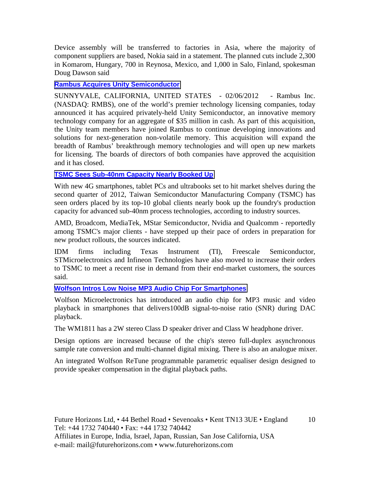Device assembly will be transferred to factories in Asia, where the majority of component suppliers are based, Nokia said in a statement. The planned cuts include 2,300 in Komarom, Hungary, 700 in Reynosa, Mexico, and 1,000 in Salo, Finland, spokesman Doug Dawson said

#### **[Rambus Acquires Unity Semiconductor](http://www.rambus.com/us/news/press_releases/2012/120206.html)**

SUNNYVALE, CALIFORNIA, UNITED STATES - 02/06/2012 - Rambus Inc. (NASDAQ: RMBS), one of the world's premier technology licensing companies, today announced it has acquired privately-held Unity Semiconductor, an innovative memory technology company for an aggregate of \$35 million in cash. As part of this acquisition, the Unity team members have joined Rambus to continue developing innovations and solutions for next-generation non-volatile memory. This acquisition will expand the breadth of Rambus' breakthrough memory technologies and will open up new markets for licensing. The boards of directors of both companies have approved the acquisition and it has closed.

#### **[TSMC Sees Sub-40nm Capacity Nearly Booked Up](http://www.digitimes.com/news/a20120215PD204.html)**

With new 4G smartphones, tablet PCs and ultrabooks set to hit market shelves during the second quarter of 2012, Taiwan Semiconductor Manufacturing Company (TSMC) has seen orders placed by its top-10 global clients nearly book up the foundry's production capacity for advanced sub-40nm process technologies, according to industry sources.

AMD, Broadcom, MediaTek, MStar Semiconductor, Nvidia and Qualcomm - reportedly among TSMC's major clients - have stepped up their pace of orders in preparation for new product rollouts, the sources indicated.

IDM firms including Texas Instrument (TI), Freescale Semiconductor, STMicroelectronics and Infineon Technologies have also moved to increase their orders to TSMC to meet a recent rise in demand from their end-market customers, the sources said.

#### **[Wolfson Intros Low Noise MP3 Audio Chip For Smartphones](http://www.electronicsweekly.com/Articles/03/02/2012/52879/wolfson-intros-low-noise-mp3-audio-chip-for-smartphones.htm)**

Wolfson Microelectronics has introduced an audio chip for MP3 music and video playback in smartphones that delivers100dB signal-to-noise ratio (SNR) during DAC playback.

The WM1811 has a 2W stereo Class D speaker driver and Class W headphone driver.

Design options are increased because of the chip's stereo full-duplex asynchronous sample rate conversion and multi-channel digital mixing. There is also an analogue mixer.

An integrated Wolfson ReTune programmable parametric equaliser design designed to provide speaker compensation in the digital playback paths.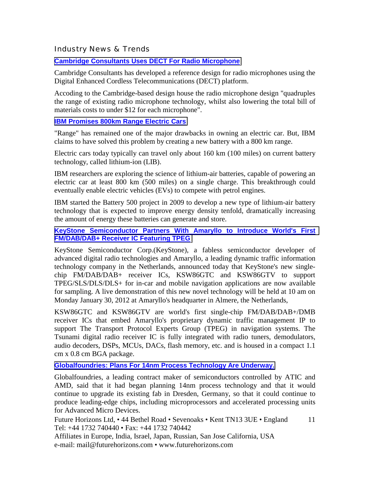Industry News & Trends

**[Cambridge Consultants Uses DECT For Radio Microphone](http://www.electronicsweekly.com/Articles/20/01/2012/52764/cambridge-consultants-uses-dect-for-radio-microphone.htm)**

Cambridge Consultants has developed a reference design for radio microphones using the Digital Enhanced Cordless Telecommunications (DECT) platform.

Accoding to the Cambridge-based design house the radio microphone design "quadruples the range of existing radio microphone technology, whilst also lowering the total bill of materials costs to under \$12 for each microphone".

#### **[IBM Promises 800km Range Electric Cars](http://www.eetindia.co.in/ART_8800659764_1800008_NT_07755441.HTM?click_from=8800089681,9950114561,2012-01-18,EEIOL,ARTICLE_ALERT)**

"Range" has remained one of the major drawbacks in owning an electric car. But, IBM claims to have solved this problem by creating a new battery with a 800 km range.

Electric cars today typically can travel only about 160 km (100 miles) on current battery technology, called lithium-ion (LIB).

IBM researchers are exploring the science of lithium-air batteries, capable of powering an electric car at least 800 km (500 miles) on a single charge. This breakthrough could eventually enable electric vehicles (EVs) to compete with petrol engines.

IBM started the Battery 500 project in 2009 to develop a new type of lithium-air battery technology that is expected to improve energy density tenfold, dramatically increasing the amount of energy these batteries can generate and store.

#### **[KeyStone Semiconductor Partners With Amaryllo to Introduce World's First](http://www.sfgate.com/cgi-bin/article.cgi?f=/g/a/2012/01/25/prweb9136338.DTL)  [FM/DAB/DAB+ Receiver IC Featuring TPEG](http://www.sfgate.com/cgi-bin/article.cgi?f=/g/a/2012/01/25/prweb9136338.DTL)**

KeyStone Semiconductor Corp.(KeyStone), a fabless semiconductor developer of advanced digital radio technologies and Amaryllo, a leading dynamic traffic information technology company in the Netherlands, announced today that KeyStone's new singlechip FM/DAB/DAB+ receiver ICs, KSW86GTC and KSW86GTV to support TPEG/SLS/DLS/DLS+ for in-car and mobile navigation applications are now available for sampling. A live demonstration of this new novel technology will be held at 10 am on Monday January 30, 2012 at Amaryllo's headquarter in Almere, the Netherlands,

KSW86GTC and KSW86GTV are world's first single-chip FM/DAB/DAB+/DMB receiver ICs that embed Amaryllo's proprietary dynamic traffic management IP to support The Transport Protocol Experts Group (TPEG) in navigation systems. The Tsunami digital radio receiver IC is fully integrated with radio tuners, demodulators, audio decoders, DSPs, MCUs, DACs, flash memory, etc. and is housed in a compact 1.1 cm x 0.8 cm BGA package.

#### **[Globalfoundries: Plans For 14nm Process Technology Are Underway.](http://www.xbitlabs.com/news/other/display/20120127221014_Globalfoundries_Plans_for_14nm_Process_Technology_Are_Underway.)**

Globalfoundries, a leading contract maker of semiconductors controlled by ATIC and AMD, said that it had began planning 14nm process technology and that it would continue to upgrade its existing fab in Dresden, Germany, so that it could continue to produce leading-edge chips, including microprocessors and accelerated processing units for Advanced Micro Devices.

Future Horizons Ltd, • 44 Bethel Road • Sevenoaks • Kent TN13 3UE • England Tel: +44 1732 740440 • Fax: +44 1732 740442 11

Affiliates in Europe, India, Israel, Japan, Russian, San Jose California, USA e-mail: mail@futurehorizons.com • www.futurehorizons.com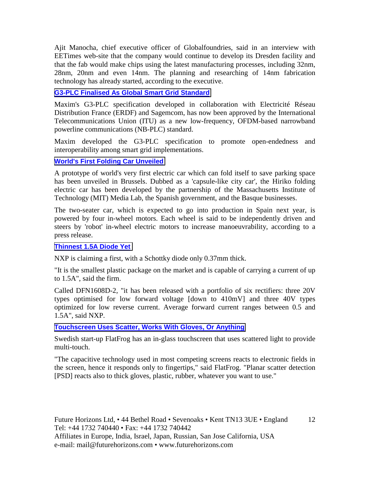Ajit Manocha, chief executive officer of Globalfoundries, said in an interview with EETimes web-site that the company would continue to develop its Dresden facility and that the fab would make chips using the latest manufacturing processes, including 32nm, 28nm, 20nm and even 14nm. The planning and researching of 14nm fabrication technology has already started, according to the executive.

#### **[G3-PLC Finalised As Global Smart Grid Standard](http://www.eetindia.co.in/ART_8800660195_1800008_NT_a1c367eb.HTM?8800089998&8800660195&click_from=8800089998,9950)**

Maxim's G3-PLC specification developed in collaboration with Electricité Réseau Distribution France (ERDF) and Sagemcom, has now been approved by the International Telecommunications Union (ITU) as a new low-frequency, OFDM-based narrowband powerline communications (NB-PLC) standard.

Maxim developed the G3-PLC specification to promote open-endedness and interoperability among smart grid implementations.

#### **[World's First Folding Car Unveiled](http://www.eetindia.co.in/ARTP_8800660098_1800007.HTM)**

A prototype of world's very first electric car which can fold itself to save parking space has been unveiled in Brussels. Dubbed as a 'capsule-like city car', the Hiriko folding electric car has been developed by the partnership of the Massachusetts Institute of Technology (MIT) Media Lab, the Spanish government, and the Basque businesses.

The two-seater car, which is expected to go into production in Spain next year, is powered by four in-wheel motors. Each wheel is said to be independently driven and steers by 'robot' in-wheel electric motors to increase manoeuvrability, according to a press release.

#### **[Thinnest 1.5A Diode Yet](http://www.electronicsweekly.com/Articles/03/02/2012/52886/thinnest-1.5a-diode-yet.htm)**

NXP is claiming a first, with a Schottky diode only 0.37mm thick.

"It is the smallest plastic package on the market and is capable of carrying a current of up to 1.5A", said the firm.

Called DFN1608D-2, "it has been released with a portfolio of six rectifiers: three 20V types optimised for low forward voltage [down to 410mV] and three 40V types optimized for low reverse current. Average forward current ranges between 0.5 and 1.5A", said NXP.

**[Touchscreen Uses Scatter, Works With Gloves, Or Anything](http://www.electronicsweekly.com/Articles/31/01/2012/52859/touchscreen-uses-scatter-works-with-gloves-or-anything.htm)**

Swedish start-up FlatFrog has an in-glass touchscreen that uses scattered light to provide multi-touch.

"The capacitive technology used in most competing screens reacts to electronic fields in the screen, hence it responds only to fingertips," said FlatFrog. "Planar scatter detection [PSD] reacts also to thick gloves, plastic, rubber, whatever you want to use."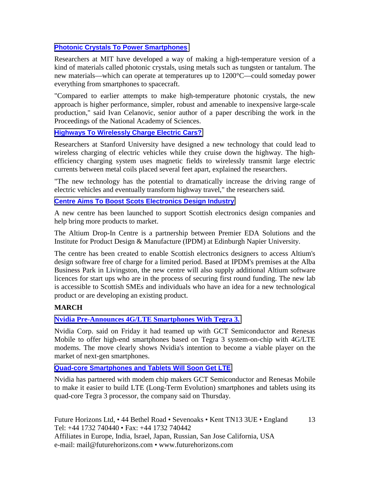#### **[Photonic Crystals To Power Smartphones](http://www.eetindia.co.in/ARTP_8800660676_1800008.HTM)**

Researchers at MIT have developed a way of making a high-temperature version of a kind of materials called photonic crystals, using metals such as tungsten or tantalum. The new materials—which can operate at temperatures up to 1200°C—could someday power everything from smartphones to spacecraft.

"Compared to earlier attempts to make high-temperature photonic crystals, the new approach is higher performance, simpler, robust and amenable to inexpensive large-scale production," said Ivan Celanovic, senior author of a paper describing the work in the Proceedings of the National Academy of Sciences.

#### **[Highways To Wirelessly Charge Electric Cars?](http://www.eetindia.co.in/ART_8800660597_1800005_NT_3dceaefe.HTM)**

Researchers at Stanford University have designed a new technology that could lead to wireless charging of electric vehicles while they cruise down the highway. The highefficiency charging system uses magnetic fields to wirelessly transmit large electric currents between metal coils placed several feet apart, explained the researchers.

"The new technology has the potential to dramatically increase the driving range of electric vehicles and eventually transform highway travel," the researchers said.

#### **[Centre Aims To Boost Scots Electronics Design Industry](http://www.newelectronics.co.uk/electronics-news/centre-aims-to-boost-scots-electronics-design-industry/40064/)**

A new centre has been launched to support Scottish electronics design companies and help bring more products to market.

The Altium Drop-In Centre is a partnership between Premier EDA Solutions and the Institute for Product Design & Manufacture (IPDM) at Edinburgh Napier University.

The centre has been created to enable Scottish electronics designers to access Altium's design software free of charge for a limited period. Based at IPDM's premises at the Alba Business Park in Livingston, the new centre will also supply additional Altium software licences for start ups who are in the process of securing first round funding. The new lab is accessible to Scottish SMEs and individuals who have an idea for a new technological product or are developing an existing product.

#### **MARCH**

#### **[Nvidia Pre-Announces 4G/LTE Smartphones With Tegra 3.](http://www.xbitlabs.com/news/mobile/display/20120224151333_Nvidia_Pre_Announces_4G_LTE_Smartphones_with_Tegra_3.html)**

Nvidia Corp. said on Friday it had teamed up with GCT Semiconductor and Renesas Mobile to offer high-end smartphones based on Tegra 3 system-on-chip with 4G/LTE modems. The move clearly shows Nvidia's intention to become a viable player on the market of next-gen smartphones.

#### **Quad-core Smartphones and Tablets Will Soon Get LTE**

Nvidia has partnered with modem chip makers GCT Semiconductor and Renesas Mobile to make it easier to build LTE (Long-Term Evolution) smartphones and tablets using its quad-core Tegra 3 processor, the company said on Thursday.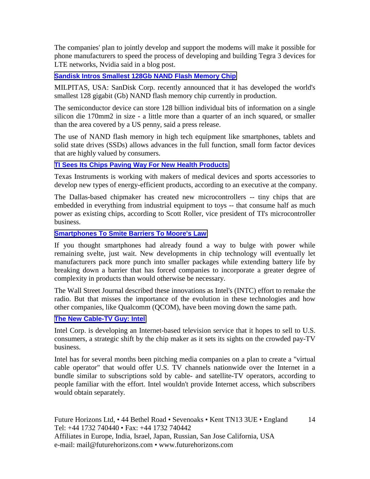The companies' plan to jointly develop and support the modems will make it possible for phone manufacturers to speed the process of developing and building Tegra 3 devices for LTE networks, Nvidia said in a blog post.

#### **[Sandisk Intros Smallest 128Gb NAND Flash Memory Chip](http://www.electroiq.com/semiconductors/2012/02/23/sandisk-intros-smallest-128gb-nand-flash-memory-chip.html)**

MILPITAS, USA: SanDisk Corp. recently announced that it has developed the world's smallest 128 gigabit (Gb) NAND flash memory chip currently in production.

The semiconductor device can store 128 billion individual bits of information on a single silicon die 170mm2 in size - a little more than a quarter of an inch squared, or smaller than the area covered by a US penny, said a press release.

The use of NAND flash memory in high tech equipment like smartphones, tablets and solid state drives (SSDs) allows advances in the full function, small form factor devices that are highly valued by consumers.

#### **[TI Sees Its Chips Paving Way For New Health Products](http://www.xbitlabs.com/news/mobile/display/20120224151333_Nvidia_Pre_Announces_4G_LTE_Smartphones_with_Tegra_3.html)**

Texas Instruments is working with makers of medical devices and sports accessories to develop new types of energy-efficient products, according to an executive at the company.

The Dallas-based chipmaker has created new microcontrollers -- tiny chips that are embedded in everything from industrial equipment to toys -- that consume half as much power as existing chips, according to Scott Roller, vice president of TI's microcontroller business.

#### **[Smartphones To Smite Barriers To Moore's Law](http://www.cbsnews.com/8301-500395_162-57388826/smartphones-to-smite-barriers-to-moores-law/)**

If you thought smartphones had already found a way to bulge with power while remaining svelte, just wait. New developments in chip technology will eventually let manufacturers pack more punch into smaller packages while extending battery life by breaking down a barrier that has forced companies to incorporate a greater degree of complexity in products than would otherwise be necessary.

The Wall Street Journal described these innovations as Intel's (INTC) effort to remake the radio. But that misses the importance of the evolution in these technologies and how other companies, like Qualcomm (QCOM), have been moving down the same path.

#### **[The New Cable-TV Guy: Intel](http://online.wsj.com/article/SB10001424052702304450004577277732222512596.html?mod=djemalertTECH)**

Intel Corp. is developing an Internet-based television service that it hopes to sell to U.S. consumers, a strategic shift by the chip maker as it sets its sights on the crowded pay-TV business.

Intel has for several months been pitching media companies on a plan to create a "virtual cable operator" that would offer U.S. TV channels nationwide over the Internet in a bundle similar to subscriptions sold by cable- and satellite-TV operators, according to people familiar with the effort. Intel wouldn't provide Internet access, which subscribers would obtain separately.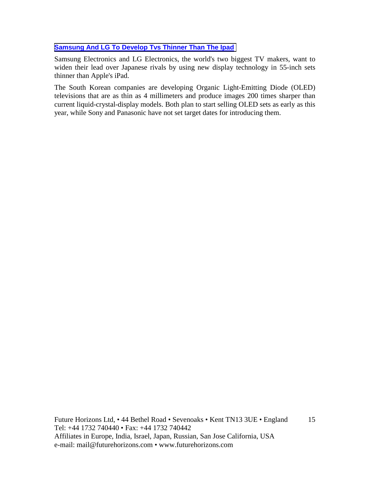#### **[Samsung And LG To Develop Tvs Thinner Than The Ipad](http://www.todayonline.com/TechandDigital/Digital/EDC120311-0000048/Samsung-and-LG-to-develop-TVs-thinner-than-the-iPad)**

Samsung Electronics and LG Electronics, the world's two biggest TV makers, want to widen their lead over Japanese rivals by using new display technology in 55-inch sets thinner than Apple's iPad.

The South Korean companies are developing Organic Light-Emitting Diode (OLED) televisions that are as thin as 4 millimeters and produce images 200 times sharper than current liquid-crystal-display models. Both plan to start selling OLED sets as early as this year, while Sony and Panasonic have not set target dates for introducing them.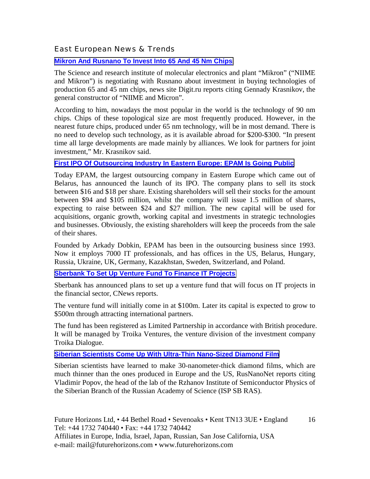#### East European News & Trends

#### **[Mikron And Rusnano To Invest Into 65 And 45 Nm Chips](http://www.marchmontcapital.com/Technology-Innovation/Central-regions/18266-Mikron-and-Rusnano-invest-into-65-and-45-nm-chips.html)**

The Science and research institute of molecular electronics and plant "Mikron" ("NIIME and Mikron") is negotiating with Rusnano about investment in buying technologies of production 65 and 45 nm chips, news site Digit.ru reports citing Gennady Krasnikov, the general constructor of "NIIME and Micron".

According to him, nowadays the most popular in the world is the technology of 90 nm chips. Chips of these topological size are most frequently produced. However, in the nearest future chips, produced under 65 nm technology, will be in most demand. There is no need to develop such technology, as it is available abroad for \$200-\$300. "In present time all large developments are made mainly by alliances. We look for partners for joint investment," Mr. Krasnikov said.

#### **[First IPO Of Outsourcing Industry In Eastern Europe: EPAM Is Going Public](http://goaleurope.com/2012/01/24/outsourcing-eastern-europe-it-is-official-epam-is-going-public/)**

Today EPAM, the largest outsourcing company in Eastern Europe which came out of Belarus, has announced the launch of its IPO. The company plans to sell its stock between \$16 and \$18 per share. Existing shareholders will sell their stocks for the amount between \$94 and \$105 million, whilst the company will issue 1.5 million of shares, expecting to raise between \$24 and \$27 million. The new capital will be used for acquisitions, organic growth, working capital and investments in strategic technologies and businesses. Obviously, the existing shareholders will keep the proceeds from the sale of their shares.

Founded by Arkady Dobkin, EPAM has been in the outsourcing business since 1993. Now it employs 7000 IT professionals, and has offices in the US, Belarus, Hungary, Russia, Ukraine, UK, Germany, Kazakhstan, Sweden, Switzerland, and Poland.

#### **[Sberbank To Set Up Venture Fund To Finance IT Projects](http://www.marchmontcapital.com/Technology-Innovation/Central-regions/18279-Sberbank-set-up-venture-fund-finance-IT-projects.html)**

Sberbank has announced plans to set up a venture fund that will focus on IT projects in the financial sector, CNews reports.

The venture fund will initially come in at \$100m. Later its capital is expected to grow to \$500m through attracting international partners.

The fund has been registered as Limited Partnership in accordance with British procedure. It will be managed by Troika Ventures, the venture division of the investment company Troika Dialogue.

#### **[Siberian Scientists Come Up With Ultra-Thin Nano-Sized Diamond Film](http://www.marchmontcapital.com/Technology-Innovation/Siberia/18275-Siberian-scientists-come-up-with-ultra-thin-nano-sized-diamond-film.html)**

Siberian scientists have learned to make 30-nanometer-thick diamond films, which are much thinner than the ones produced in Europe and the US, RusNanoNet reports citing Vladimir Popov, the head of the lab of the Rzhanov Institute of Semiconductor Physics of the Siberian Branch of the Russian Academy of Science (ISP SB RAS).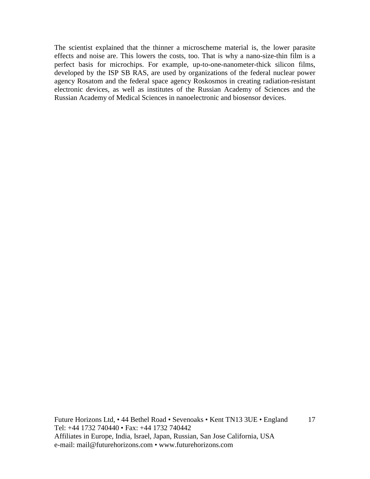The scientist explained that the thinner a microscheme material is, the lower parasite effects and noise are. This lowers the costs, too. That is why a nano-size-thin film is a perfect basis for microchips. For example, up-to-one-nanometer-thick silicon films, developed by the ISP SB RAS, are used by organizations of the federal nuclear power agency Rosatom and the federal space agency Roskosmos in creating radiation-resistant electronic devices, as well as institutes of the Russian Academy of Sciences and the Russian Academy of Medical Sciences in nanoelectronic and biosensor devices.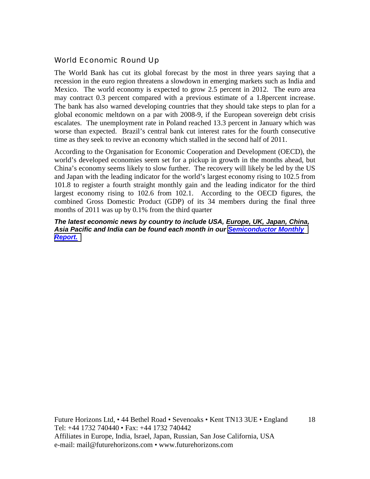#### World Economic Round Up

The World Bank has cut its global forecast by the most in three years saying that a recession in the euro region threatens a slowdown in emerging markets such as India and Mexico. The world economy is expected to grow 2.5 percent in 2012. The euro area may contract 0.3 percent compared with a previous estimate of a 1.8percent increase. The bank has also warned developing countries that they should take steps to plan for a global economic meltdown on a par with 2008-9, if the European sovereign debt crisis escalates. The unemployment rate in Poland reached 13.3 percent in January which was worse than expected. Brazil's central bank cut interest rates for the fourth consecutive time as they seek to revive an economy which stalled in the second half of 2011.

According to the Organisation for Economic Cooperation and Development (OECD), the world's developed economies seem set for a pickup in growth in the months ahead, but China's economy seems likely to slow further. The recovery will likely be led by the US and Japan with the leading indicator for the world's largest economy rising to 102.5 from 101.8 to register a fourth straight monthly gain and the leading indicator for the third largest economy rising to 102.6 from 102.1. According to the OECD figures, the combined Gross Domestic Product (GDP) of its 34 members during the final three months of 2011 was up by 0.1% from the third quarter

#### *The latest economic news by country to include USA, Europe, UK, Japan, China, Asia Pacific and India can be found each month in our [Semiconductor Monthly](http://www.futurehorizons.com/page/18/Global-Semiconductor-Report)  [Report.](http://www.futurehorizons.com/page/18/Global-Semiconductor-Report)*

Future Horizons Ltd, • 44 Bethel Road • Sevenoaks • Kent TN13 3UE • England Tel: +44 1732 740440 • Fax: +44 1732 740442 Affiliates in Europe, India, Israel, Japan, Russian, San Jose California, USA e-mail: mail@futurehorizons.com • www.futurehorizons.com

18